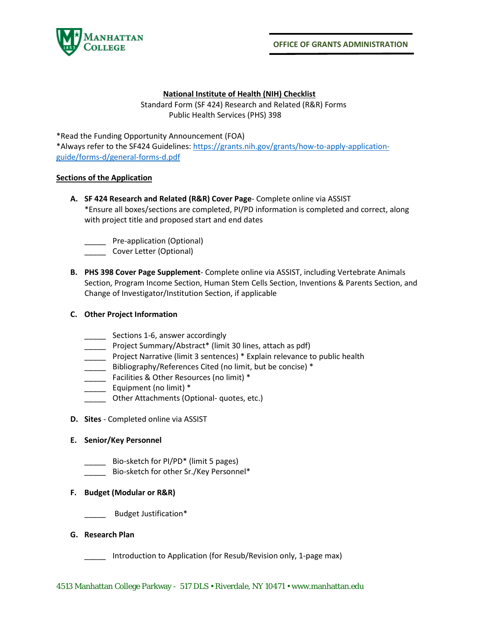

#### **National Institute of Health (NIH) Checklist**

Standard Form (SF 424) Research and Related (R&R) Forms Public Health Services (PHS) 398

\*Read the Funding Opportunity Announcement (FOA)

\*Always refer to the SF424 Guidelines: [https://grants.nih.gov/grants/how-to-apply-application](https://grants.nih.gov/grants/how-to-apply-application-guide/forms-d/general-forms-d.pdf)[guide/forms-d/general-forms-d.pdf](https://grants.nih.gov/grants/how-to-apply-application-guide/forms-d/general-forms-d.pdf)

#### **Sections of the Application**

**A. SF 424 Research and Related (R&R) Cover Page**- Complete online via ASSIST \*Ensure all boxes/sections are completed, PI/PD information is completed and correct, along with project title and proposed start and end dates

\_\_\_\_\_ Pre-application (Optional)

- \_\_\_\_\_ Cover Letter (Optional)
- **B. PHS 398 Cover Page Supplement** Complete online via ASSIST, including Vertebrate Animals Section, Program Income Section, Human Stem Cells Section, Inventions & Parents Section, and Change of Investigator/Institution Section, if applicable

# **C. Other Project Information**

- \_\_\_\_\_ Sections 1-6, answer accordingly
- \_\_\_\_\_ Project Summary/Abstract\* (limit 30 lines, attach as pdf)
- **\_\_\_\_** Project Narrative (limit 3 sentences) \* Explain relevance to public health
- \_\_\_\_\_ Bibliography/References Cited (no limit, but be concise) \*
- \_\_\_\_\_ Facilities & Other Resources (no limit) \*
- \_\_\_\_\_ Equipment (no limit) \*
- \_\_\_\_\_ Other Attachments (Optional- quotes, etc.)
- **D. Sites** Completed online via ASSIST

#### **E. Senior/Key Personnel**

- Bio-sketch for PI/PD<sup>\*</sup> (limit 5 pages)
- Bio-sketch for other Sr./Key Personnel\*

# **F. Budget (Modular or R&R)**

Budget Justification\*

# **G. Research Plan**

\_\_\_\_\_ Introduction to Application (for Resub/Revision only, 1-page max)